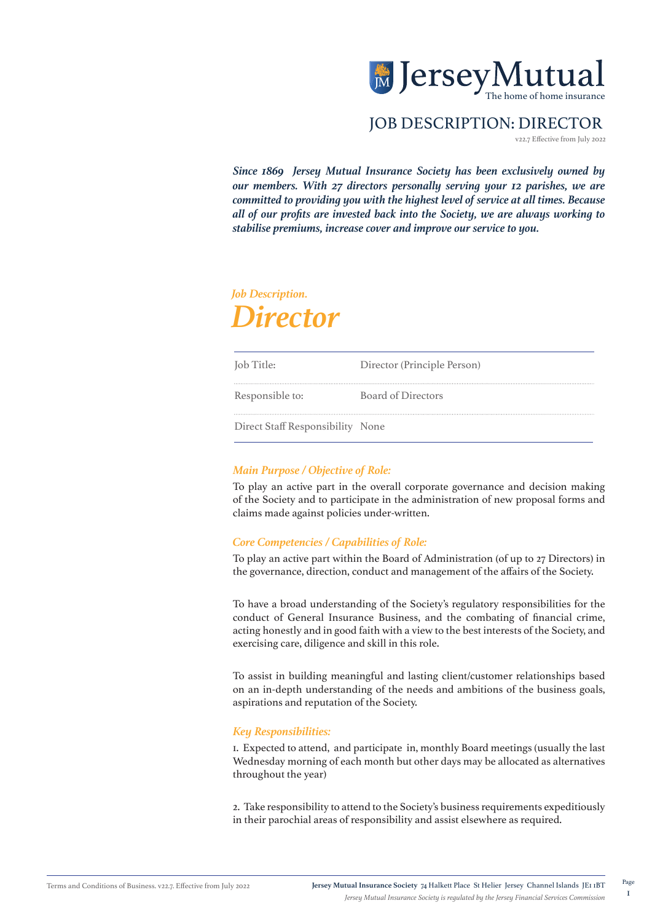

# JOB DESCRIPTION: DIRECTOR

v22.7 Effective from July 2022

*Since 1869 Jersey Mutual Insurance Society has been exclusively owned by our members. With 27 directors personally serving your 12 parishes, we are committed to providing you with the highest level of service at all times. Because all of our profits are invested back into the Society, we are always working to stabilise premiums, increase cover and improve our service to you.*

# *Job Description. Director*

| Job Title:                       | Director (Principle Person) |
|----------------------------------|-----------------------------|
| Responsible to:                  | <b>Board of Directors</b>   |
| Direct Staff Responsibility None |                             |

## *Main Purpose / Objective of Role:*

To play an active part in the overall corporate governance and decision making of the Society and to participate in the administration of new proposal forms and claims made against policies under-written.

#### *Core Competencies / Capabilities of Role:*

To play an active part within the Board of Administration (of up to 27 Directors) in the governance, direction, conduct and management of the affairs of the Society.

To have a broad understanding of the Society's regulatory responsibilities for the conduct of General Insurance Business, and the combating of financial crime, acting honestly and in good faith with a view to the best interests of the Society, and exercising care, diligence and skill in this role.

To assist in building meaningful and lasting client/customer relationships based on an in-depth understanding of the needs and ambitions of the business goals, aspirations and reputation of the Society.

#### *Key Responsibilities:*

1. Expected to attend, and participate in, monthly Board meetings (usually the last Wednesday morning of each month but other days may be allocated as alternatives throughout the year)

2. Take responsibility to attend to the Society's business requirements expeditiously in their parochial areas of responsibility and assist elsewhere as required.